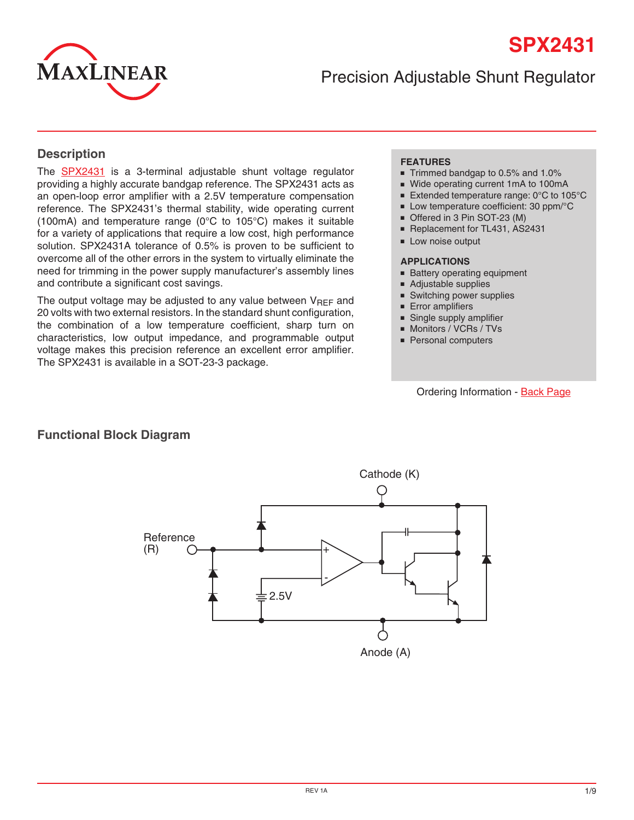

Precision Adjustable Shunt Regulator

#### **Description**

The **[SPX2431](http://www.exar.com/SPX2431)** is a 3-terminal adjustable shunt voltage regulator providing a highly accurate bandgap reference. The SPX2431 acts as an open-loop error amplifier with a 2.5V temperature compensation reference. The SPX2431's thermal stability, wide operating current (100mA) and temperature range (0°C to 105°C) makes it suitable for a variety of applications that require a low cost, high performance solution. SPX2431A tolerance of 0.5% is proven to be sufficient to overcome all of the other errors in the system to virtually eliminate the need for trimming in the power supply manufacturer's assembly lines and contribute a significant cost savings.

The output voltage may be adjusted to any value between  $V_{\text{RFF}}$  and 20 volts with two external resistors. In the standard shunt configuration, the combination of a low temperature coefficient, sharp turn on characteristics, low output impedance, and programmable output voltage makes this precision reference an excellent error amplifier. The SPX2431 is available in a SOT-23-3 package.

#### **FEATURES**

- Trimmed bandgap to 0.5% and 1.0%
- Wide operating current 1mA to 100mA
- Extended temperature range: 0°C to 105°C
- Low temperature coefficient: 30 ppm/°C
- Offered in 3 Pin SOT-23 (M)
- Replacement for TL431, AS2431
- Low noise output

#### **APPLICATIONS**

- Battery operating equipment
- Adjustable supplies
- Switching power supplies
- Error amplifiers
- Single supply amplifier
- Monitors / VCRs / TVs
- Personal computers

#### Ordering Information - [Back Page](#page-8-0)



#### **Functional Block Diagram**

Lorem ipsum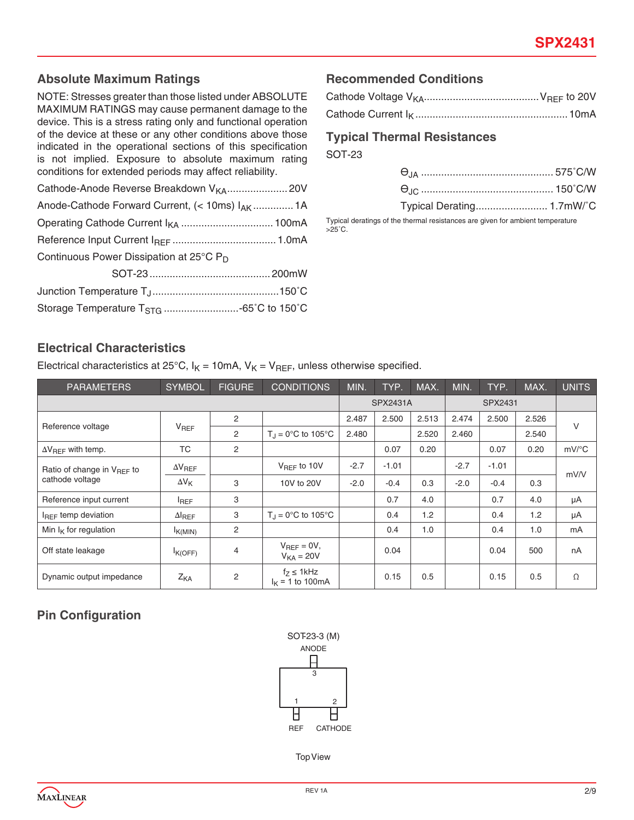#### **Absolute Maximum Ratings**

NOTE: Stresses greater than those listed under ABSOLUTE MAXIMUM RATINGS may cause permanent damage to the device. This is a stress rating only and functional operation of the device at these or any other conditions above those indicated in the operational sections of this specification is not implied. Exposure to absolute maximum rating conditions for extended periods may affect reliability.

| Anode-Cathode Forward Current, (< 10ms) IAK  1A     |  |
|-----------------------------------------------------|--|
|                                                     |  |
|                                                     |  |
| Continuous Power Dissipation at 25°C P <sub>D</sub> |  |
|                                                     |  |

#### **Recommended Conditions**

#### **Typical Thermal Resistances**

SOT-23

 $>25^\circ$ C.

| Typical deratings of the thermal resistances are given for ambient temperature |  |
|--------------------------------------------------------------------------------|--|

#### **Electrical Characteristics**

Electrical characteristics at 25°C,  $I_K = 10$ mA,  $V_K = V_{REF}$ , unless otherwise specified.

| <b>PARAMETERS</b>                                         | <b>SYMBOL</b>    | <b>FIGURE</b>  | <b>CONDITIONS</b>                      | MIN.   | TYP.            | MAX.  | MIN.   | TYP.    | MAX.  | <b>UNITS</b> |
|-----------------------------------------------------------|------------------|----------------|----------------------------------------|--------|-----------------|-------|--------|---------|-------|--------------|
|                                                           |                  |                |                                        |        | <b>SPX2431A</b> |       |        | SPX2431 |       |              |
|                                                           |                  | 2              |                                        | 2.487  | 2.500           | 2.513 | 2.474  | 2.500   | 2.526 | V            |
| Reference voltage                                         | $V_{REF}$        | 2              | $T_{\text{J}} = 0^{\circ}C$ to 105°C   | 2.480  |                 | 2.520 | 2.460  |         | 2.540 |              |
| $\Delta V_{\text{BFF}}$ with temp.                        | <b>TC</b>        | 2              |                                        |        | 0.07            | 0.20  |        | 0.07    | 0.20  | mV/°C        |
| Ratio of change in V <sub>BFF</sub> to<br>cathode voltage | $\Delta V_{REF}$ |                | $V_{BFF}$ to 10V                       | $-2.7$ | $-1.01$         |       | $-2.7$ | $-1.01$ |       | mV/V         |
|                                                           | $\Delta V_{K}$   | 3              | 10V to 20V                             | $-2.0$ | $-0.4$          | 0.3   | $-2.0$ | $-0.4$  | 0.3   |              |
| Reference input current                                   | $I_{REF}$        | 3              |                                        |        | 0.7             | 4.0   |        | 0.7     | 4.0   | μA           |
| I <sub>REF</sub> temp deviation                           | $\Delta I_{REF}$ | 3              | $T_1 = 0^\circ \text{C}$ to 105°C      |        | 0.4             | 1.2   |        | 0.4     | 1.2   | μA           |
| Min $I_K$ for regulation                                  | $I_{K(MIN)}$     | 2              |                                        |        | 0.4             | 1.0   |        | 0.4     | 1.0   | mA           |
| Off state leakage                                         | K(OFF)           | 4              | $V_{BFE} = 0V$ ,<br>$V_{KA} = 20V$     |        | 0.04            |       |        | 0.04    | 500   | nA           |
| Dynamic output impedance                                  | Z <sub>KA</sub>  | $\overline{c}$ | $f_7 \leq 1$ kHz<br>$I_K$ = 1 to 100mA |        | 0.15            | 0.5   |        | 0.15    | 0.5   | Ω            |

#### **Pin Configuration**



Top View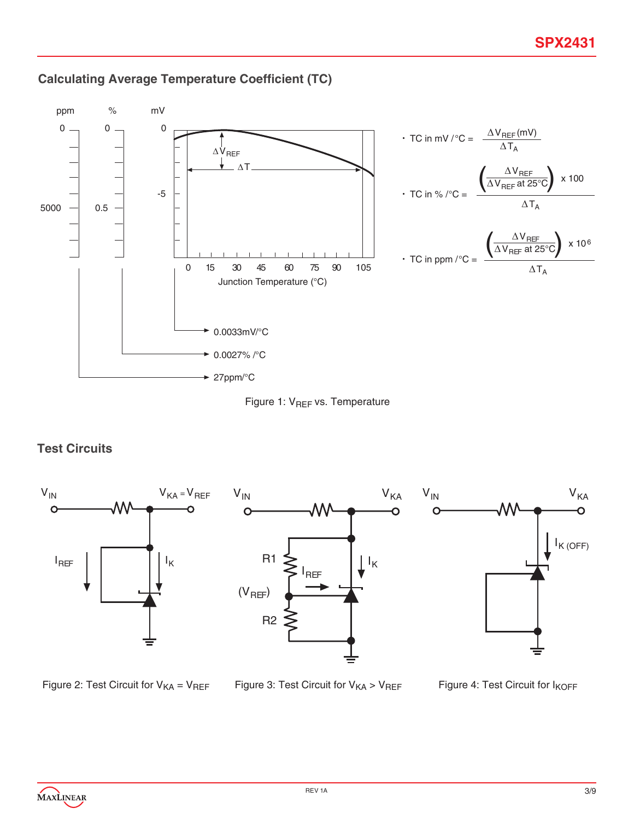

## **Calculating Average Temperature Coefficient (TC)**



#### **Test Circuits**



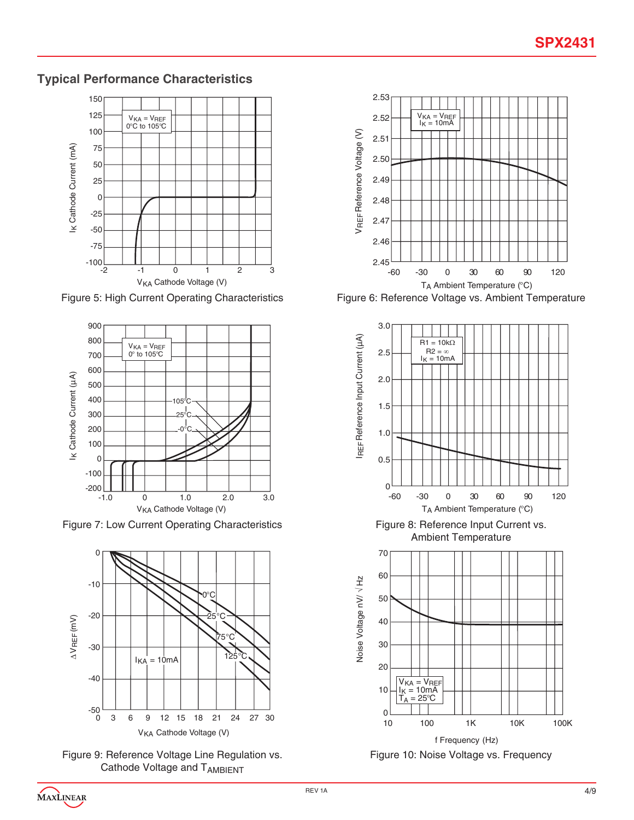## **Typical Performance Characteristics**



Figure 5: High Current Operating Characteristics



Figure 7: Low Current Operating Characteristics



Figure 9: Reference Voltage Line Regulation vs. Cathode Voltage and TAMBIENT



Figure 6: Reference Voltage vs. Ambient Temperature





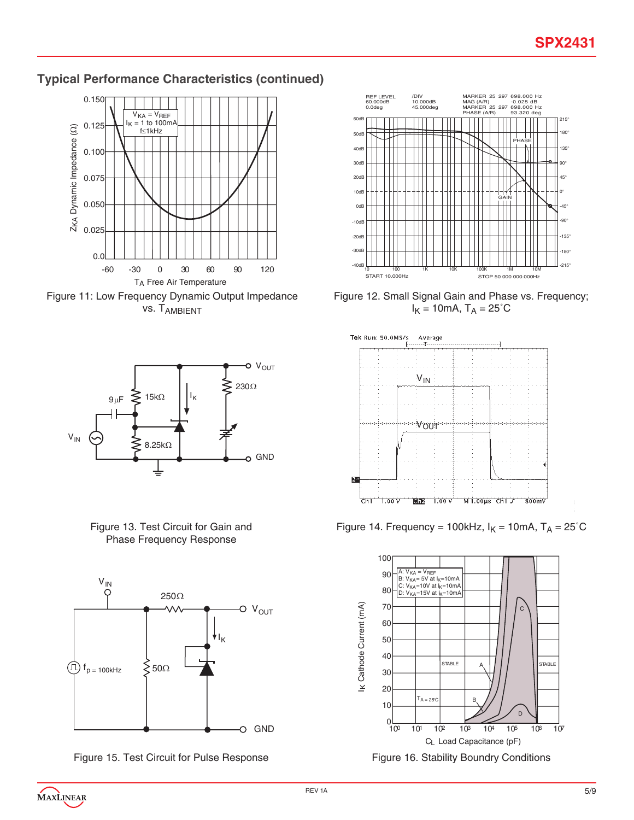### **Typical Performance Characteristics (continued)**















Figure 12. Small Signal Gain and Phase vs. Frequency;  $I_K = 10$ mA,  $T_A = 25^\circ C$ 



Figure 14. Frequency = 100kHz,  $I_K = 10$ mA,  $T_A = 25^\circ C$ 

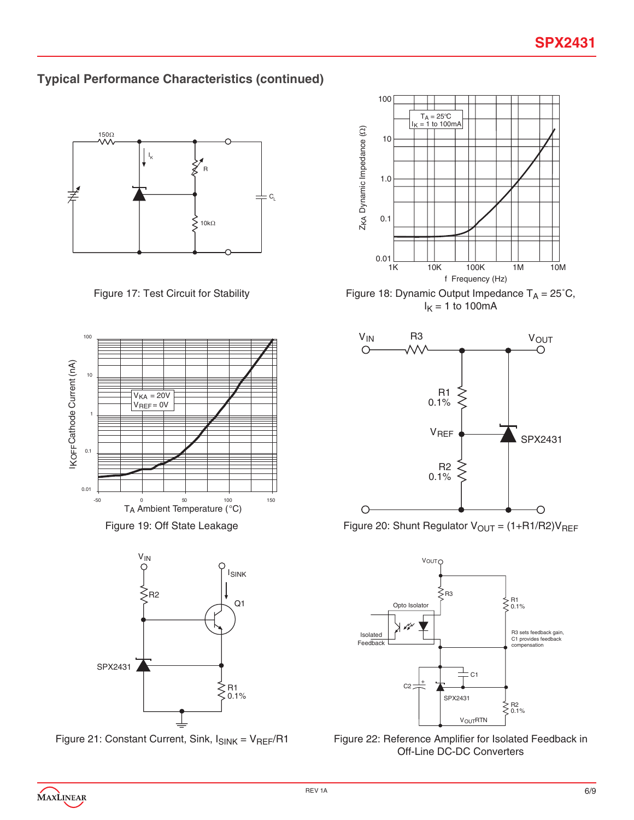## **Typical Performance Characteristics (continued)**









Figure 17: Test Circuit for Stability Figure 18: Dynamic Output Impedance  $T_A = 25^{\circ}C$ ,  $I<sub>K</sub> = 1$  to 100mA



Figure 19: Off State Leakage Figure 20: Shunt Regulator  $V_{OUT} = (1 + R1/R2)V_{REF}$ 



Figure 21: Constant Current, Sink,  $I_{SINK} = V_{REF}/R1$  Figure 22: Reference Amplifier for Isolated Feedback in Off-Line DC-DC Converters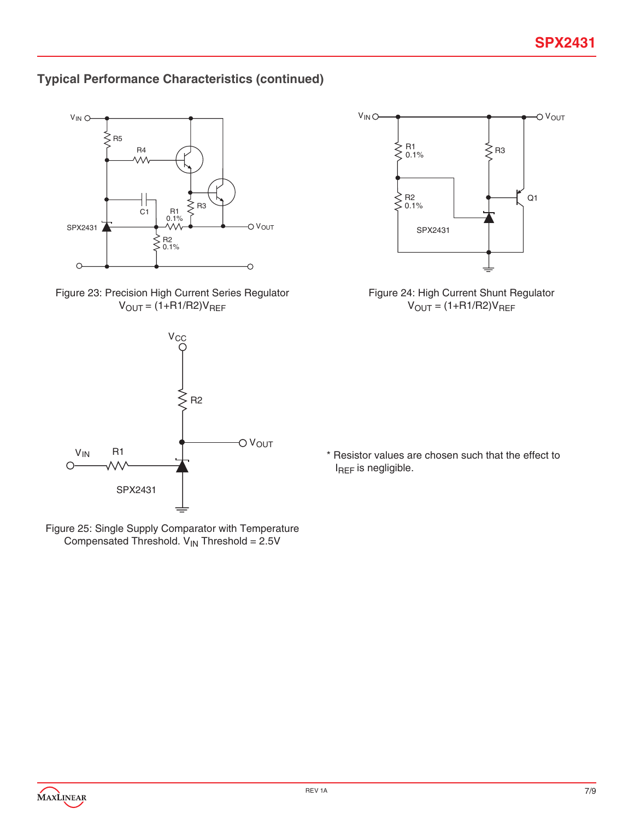# **Typical Performance Characteristics (continued)**











Figure 24: High Current Shunt Regulator  $V_{OUT} = (1+R1/R2)V_{REF}$ 

\* Resistor values are chosen such that the effect to I<sub>REF</sub> is negligible.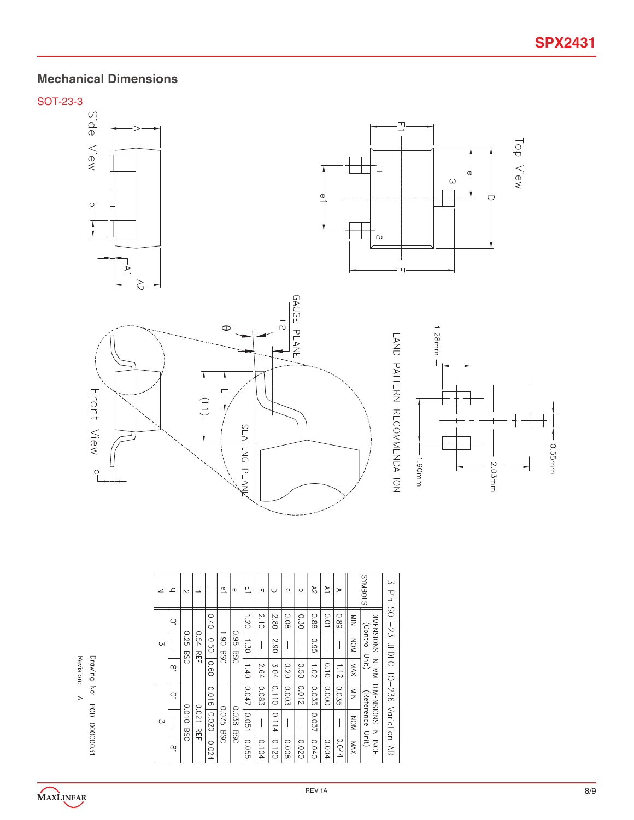# **Mechanical Dimensions**

SOT-23-3









| z            | ≏  | 12          | E                      |                      | $\overset{\text{\normalsize{0}}}{\rightharpoonup}$ | $\sigma$ | 므                          | Щ     | O     | $\circ$ | $\sigma$ | 72    | $\geq$      | ⋗     |                           | STOBNAS      | S                                  |                              |                                   |
|--------------|----|-------------|------------------------|----------------------|----------------------------------------------------|----------|----------------------------|-------|-------|---------|----------|-------|-------------|-------|---------------------------|--------------|------------------------------------|------------------------------|-----------------------------------|
|              | Q. |             |                        | 0.40                 |                                                    |          | 1.20                       | 2.10  | 2.80  | 0.08    | 0.30     | 88.0  | <b>0.01</b> | 68'0  | $\frac{8}{2}$             | DIMENSIONS   |                                    |                              |                                   |
| <b>CN</b>    |    | 0.25<br>DSG | 0.54<br>고<br>무         | 0.50<br>DSG<br>0.60  |                                                    | 061      | <b>GG</b> :0<br><b>BSC</b> | 1.30  |       | 2.90    |          |       | <b>0.95</b> |       |                           | <b>NON</b>   | (Control Unit)                     |                              |                                   |
|              | Οō |             |                        |                      |                                                    |          |                            | 1.40  | 2.64  | 3.04    | 0.20     | 0.50  | 1.02        | 0.10  | 1.12                      | XVM          | $\overline{z}$<br>$\sum_{i=1}^{n}$ |                              |                                   |
|              | Ċ  |             |                        | 0.016                |                                                    |          | 0.047                      | 0.083 | 0.110 | 0.003   | 0.012    | 0.035 | 0.000       | 0.035 | $\stackrel{\leq}{\equiv}$ | DIMENSIONS   |                                    |                              |                                   |
| $\mathsf{C}$ |    | 0.010       | 0.021<br>고<br>무<br>DSG | 0200<br>930<br>0.024 |                                                    | 0.075    |                            | 0.038 | 0.051 |         | 0.114    |       |             | 0.037 |                           |              | NON                                | (Reference<br>$\overline{z}$ | Pin SOT-23 JEDEC TO-236 Variation |
|              | Οō |             |                        |                      | <b>DSG</b>                                         |          | 0.055                      | 0.104 | 0.120 | 0.008   | 0.020    | 0.040 | 0.004       | 0.044 | XVM                       | Unit)<br>NCH | a<br>B                             |                              |                                   |

Drawing No: POD-00000031 Revision: /